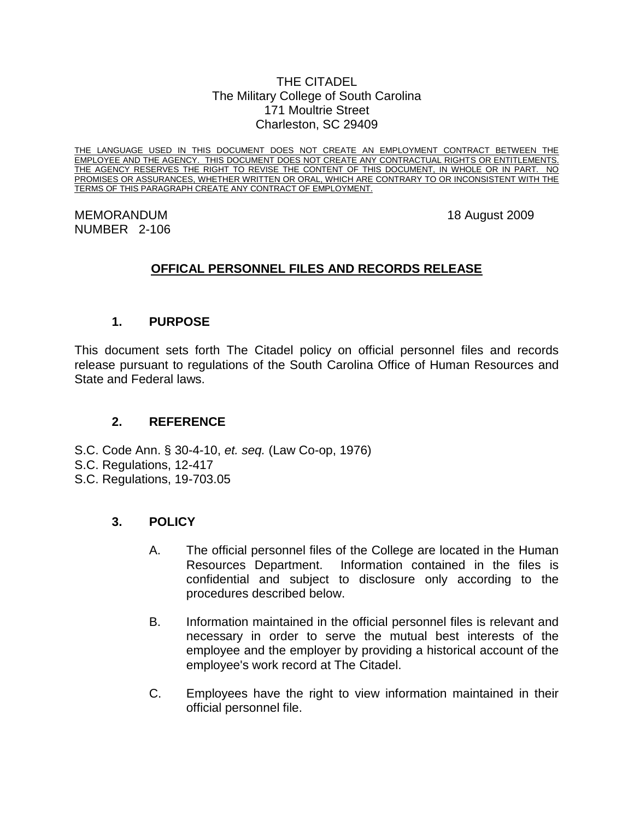#### THE CITADEL The Military College of South Carolina 171 Moultrie Street Charleston, SC 29409

THE LANGUAGE USED IN THIS DOCUMENT DOES NOT CREATE AN EMPLOYMENT CONTRACT BETWEEN THE EMPLOYEE AND THE AGENCY. THIS DOCUMENT DOES NOT CREATE ANY CONTRACTUAL RIGHTS OR ENTITLEMENTS.<br>THE AGENCY RESERVES THE RIGHT TO REVISE THE CONTENT OF THIS DOCUMENT, IN WHOLE OR IN PART. NO THE AGENCY RESERVES THE RIGHT TO REVISE THE CONTENT OF THIS DOCUMENT, IN WHOLE OR IN PART. PROMISES OR ASSURANCES, WHETHER WRITTEN OR ORAL, WHICH ARE CONTRARY TO OR INCONSISTENT WITH THE TERMS OF THIS PARAGRAPH CREATE ANY CONTRACT OF EMPLOYMENT.

### MEMORANDUM 18 August 2009 NUMBER 2-106

# **OFFICAL PERSONNEL FILES AND RECORDS RELEASE**

# **1. PURPOSE**

This document sets forth The Citadel policy on official personnel files and records release pursuant to regulations of the South Carolina Office of Human Resources and State and Federal laws.

### **2. REFERENCE**

S.C. Code Ann. § 30-4-10, *et. seq.* (Law Co-op, 1976)

- S.C. Regulations, 12-417
- S.C. Regulations, 19-703.05

### **3. POLICY**

- A. The official personnel files of the College are located in the Human Resources Department. Information contained in the files is confidential and subject to disclosure only according to the procedures described below.
- B. Information maintained in the official personnel files is relevant and necessary in order to serve the mutual best interests of the employee and the employer by providing a historical account of the employee's work record at The Citadel.
- C. Employees have the right to view information maintained in their official personnel file.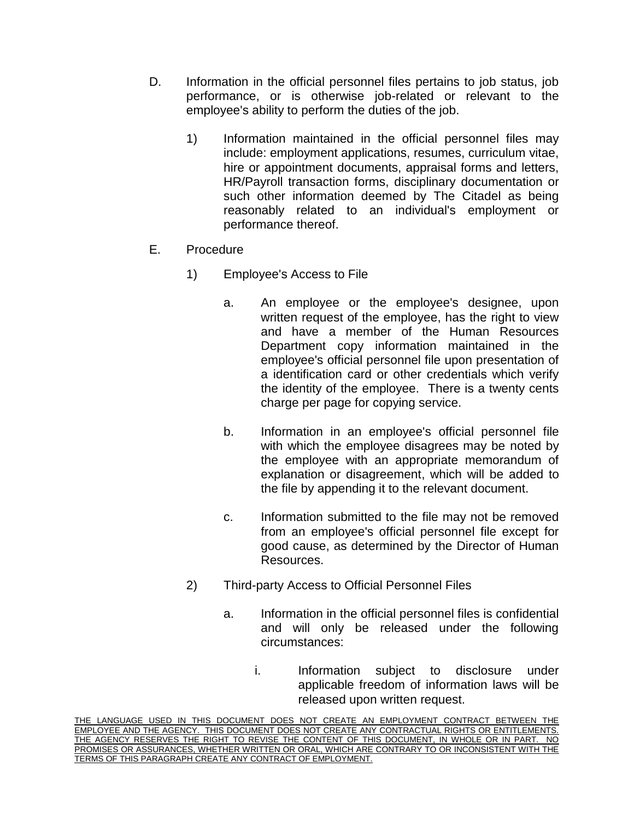- D. Information in the official personnel files pertains to job status, job performance, or is otherwise job-related or relevant to the employee's ability to perform the duties of the job.
	- 1) Information maintained in the official personnel files may include: employment applications, resumes, curriculum vitae, hire or appointment documents, appraisal forms and letters, HR/Payroll transaction forms, disciplinary documentation or such other information deemed by The Citadel as being reasonably related to an individual's employment or performance thereof.
- E. Procedure
	- 1) Employee's Access to File
		- a. An employee or the employee's designee, upon written request of the employee, has the right to view and have a member of the Human Resources Department copy information maintained in the employee's official personnel file upon presentation of a identification card or other credentials which verify the identity of the employee. There is a twenty cents charge per page for copying service.
		- b. Information in an employee's official personnel file with which the employee disagrees may be noted by the employee with an appropriate memorandum of explanation or disagreement, which will be added to the file by appending it to the relevant document.
		- c. Information submitted to the file may not be removed from an employee's official personnel file except for good cause, as determined by the Director of Human Resources.
	- 2) Third-party Access to Official Personnel Files
		- a. Information in the official personnel files is confidential and will only be released under the following circumstances:
			- i. Information subject to disclosure under applicable freedom of information laws will be released upon written request.

THE LANGUAGE USED IN THIS DOCUMENT DOES NOT CREATE AN EMPLOYMENT CONTRACT BETWEEN THE EMPLOYEE AND THE AGENCY. THIS DOCUMENT DOES NOT CREATE ANY CONTRACTUAL RIGHTS OR ENTITLEMENTS. THE AGENCY RESERVES THE RIGHT TO REVISE THE CONTENT OF THIS DOCUMENT, IN WHOLE OR IN PART. NO PROMISES OR ASSURANCES, WHETHER WRITTEN OR ORAL, WHICH ARE CONTRARY TO OR INCONSISTENT WITH THE TERMS OF THIS PARAGRAPH CREATE ANY CONTRACT OF EMPLOYMENT.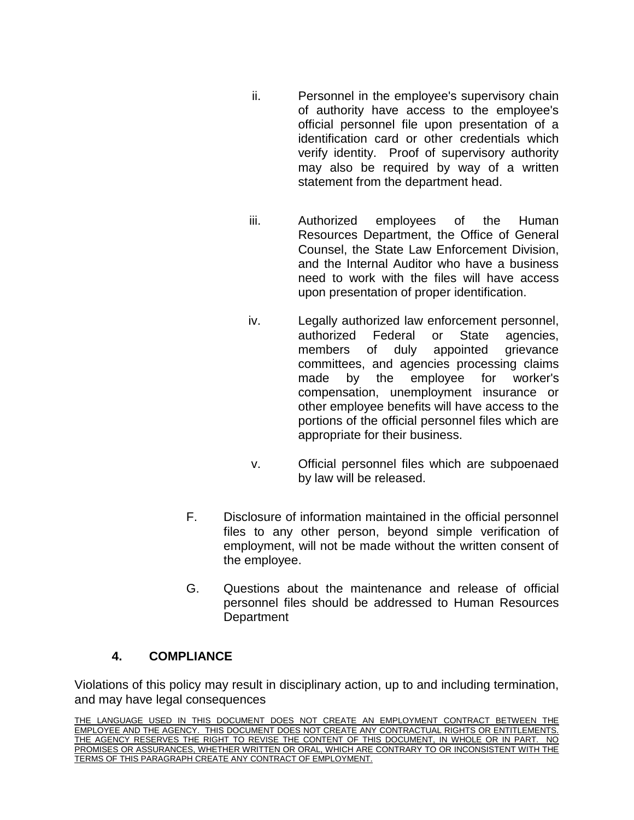- ii. Personnel in the employee's supervisory chain of authority have access to the employee's official personnel file upon presentation of a identification card or other credentials which verify identity. Proof of supervisory authority may also be required by way of a written statement from the department head.
- iii. Authorized employees of the Human Resources Department, the Office of General Counsel, the State Law Enforcement Division, and the Internal Auditor who have a business need to work with the files will have access upon presentation of proper identification.
- iv. Legally authorized law enforcement personnel, authorized Federal or State agencies, members of duly appointed grievance committees, and agencies processing claims made by the employee for worker's compensation, unemployment insurance or other employee benefits will have access to the portions of the official personnel files which are appropriate for their business.
- v. Official personnel files which are subpoenaed by law will be released.
- F. Disclosure of information maintained in the official personnel files to any other person, beyond simple verification of employment, will not be made without the written consent of the employee.
- G. Questions about the maintenance and release of official personnel files should be addressed to Human Resources **Department**

# **4. COMPLIANCE**

Violations of this policy may result in disciplinary action, up to and including termination, and may have legal consequences

THE LANGUAGE USED IN THIS DOCUMENT DOES NOT CREATE AN EMPLOYMENT CONTRACT BETWEEN THE EMPLOYEE AND THE AGENCY. THIS DOCUMENT DOES NOT CREATE ANY CONTRACTUAL RIGHTS OR ENTITLEMENTS. THE AGENCY RESERVES THE RIGHT TO REVISE THE CONTENT OF THIS DOCUMENT, IN WHOLE OR IN PART. NO PROMISES OR ASSURANCES, WHETHER WRITTEN OR ORAL, WHICH ARE CONTRARY TO OR INCONSISTENT WITH THE TERMS OF THIS PARAGRAPH CREATE ANY CONTRACT OF EMPLOYMENT.